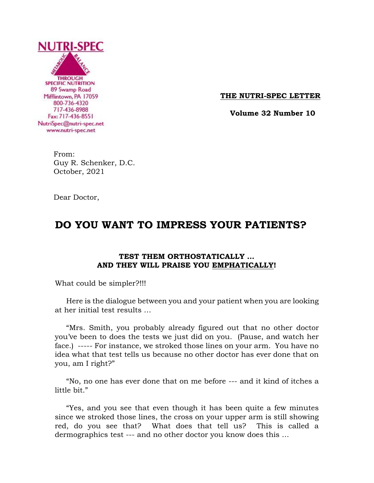

**THE NUTRI-SPEC LETTER**

 **Volume 32 Number 10**

 From: Guy R. Schenker, D.C. October, 2021

Dear Doctor,

# **DO YOU WANT TO IMPRESS YOUR PATIENTS?**

## **TEST THEM ORTHOSTATICALLY … AND THEY WILL PRAISE YOU EMPHATICALLY!**

What could be simpler?!!!

 Here is the dialogue between you and your patient when you are looking at her initial test results …

 "Mrs. Smith, you probably already figured out that no other doctor you've been to does the tests we just did on you. (Pause, and watch her face.) ----- For instance, we stroked those lines on your arm. You have no idea what that test tells us because no other doctor has ever done that on you, am I right?"

 "No, no one has ever done that on me before --- and it kind of itches a little bit."

 "Yes, and you see that even though it has been quite a few minutes since we stroked those lines, the cross on your upper arm is still showing red, do you see that? What does that tell us? This is called a dermographics test --- and no other doctor you know does this …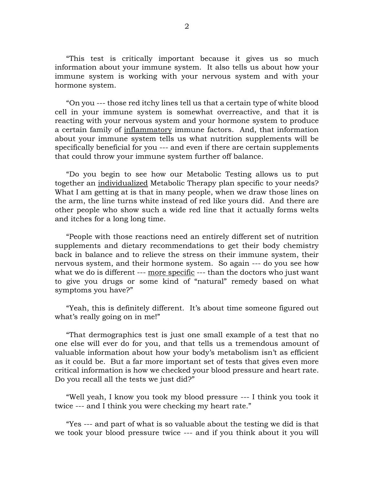"This test is critically important because it gives us so much information about your immune system. It also tells us about how your immune system is working with your nervous system and with your hormone system.

 "On you --- those red itchy lines tell us that a certain type of white blood cell in your immune system is somewhat overreactive, and that it is reacting with your nervous system and your hormone system to produce a certain family of inflammatory immune factors. And, that information about your immune system tells us what nutrition supplements will be specifically beneficial for you --- and even if there are certain supplements that could throw your immune system further off balance.

 "Do you begin to see how our Metabolic Testing allows us to put together an individualized Metabolic Therapy plan specific to your needs? What I am getting at is that in many people, when we draw those lines on the arm, the line turns white instead of red like yours did. And there are other people who show such a wide red line that it actually forms welts and itches for a long long time.

 "People with those reactions need an entirely different set of nutrition supplements and dietary recommendations to get their body chemistry back in balance and to relieve the stress on their immune system, their nervous system, and their hormone system. So again --- do you see how what we do is different --- more specific --- than the doctors who just want to give you drugs or some kind of "natural" remedy based on what symptoms you have?"

 "Yeah, this is definitely different. It's about time someone figured out what's really going on in me!"

 "That dermographics test is just one small example of a test that no one else will ever do for you, and that tells us a tremendous amount of valuable information about how your body's metabolism isn't as efficient as it could be. But a far more important set of tests that gives even more critical information is how we checked your blood pressure and heart rate. Do you recall all the tests we just did?"

 "Well yeah, I know you took my blood pressure --- I think you took it twice --- and I think you were checking my heart rate."

 "Yes --- and part of what is so valuable about the testing we did is that we took your blood pressure twice --- and if you think about it you will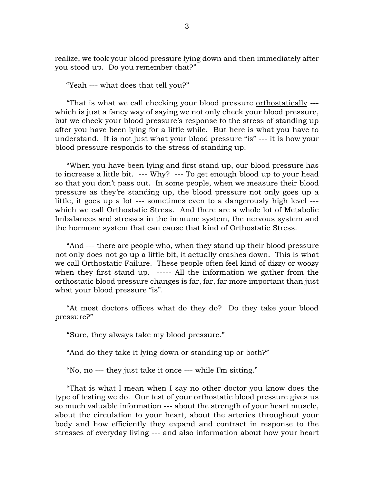realize, we took your blood pressure lying down and then immediately after you stood up. Do you remember that?"

"Yeah --- what does that tell you?"

 "That is what we call checking your blood pressure orthostatically -- which is just a fancy way of saying we not only check your blood pressure, but we check your blood pressure's response to the stress of standing up after you have been lying for a little while. But here is what you have to understand. It is not just what your blood pressure "is" --- it is how your blood pressure responds to the stress of standing up.

 "When you have been lying and first stand up, our blood pressure has to increase a little bit. --- Why? --- To get enough blood up to your head so that you don't pass out. In some people, when we measure their blood pressure as they're standing up, the blood pressure not only goes up a little, it goes up a lot --- sometimes even to a dangerously high level -- which we call Orthostatic Stress. And there are a whole lot of Metabolic Imbalances and stresses in the immune system, the nervous system and the hormone system that can cause that kind of Orthostatic Stress.

 "And --- there are people who, when they stand up their blood pressure not only does not go up a little bit, it actually crashes down. This is what we call Orthostatic Failure. These people often feel kind of dizzy or woozy when they first stand up. ----- All the information we gather from the orthostatic blood pressure changes is far, far, far more important than just what your blood pressure "is".

 "At most doctors offices what do they do? Do they take your blood pressure?"

"Sure, they always take my blood pressure."

"And do they take it lying down or standing up or both?"

"No, no --- they just take it once --- while I'm sitting."

 "That is what I mean when I say no other doctor you know does the type of testing we do. Our test of your orthostatic blood pressure gives us so much valuable information --- about the strength of your heart muscle, about the circulation to your heart, about the arteries throughout your body and how efficiently they expand and contract in response to the stresses of everyday living --- and also information about how your heart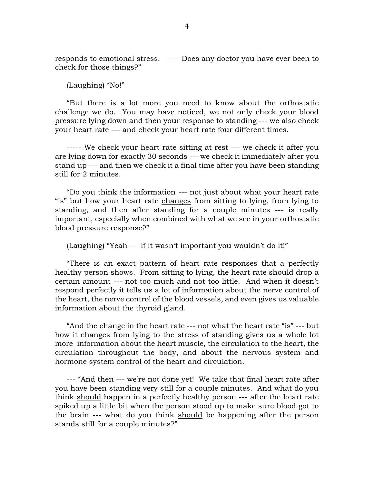responds to emotional stress. ----- Does any doctor you have ever been to check for those things?"

(Laughing) "No!"

 "But there is a lot more you need to know about the orthostatic challenge we do. You may have noticed, we not only check your blood pressure lying down and then your response to standing --- we also check your heart rate --- and check your heart rate four different times.

 ----- We check your heart rate sitting at rest --- we check it after you are lying down for exactly 30 seconds --- we check it immediately after you stand up --- and then we check it a final time after you have been standing still for 2 minutes.

 "Do you think the information --- not just about what your heart rate "is" but how your heart rate changes from sitting to lying, from lying to standing, and then after standing for a couple minutes --- is really important, especially when combined with what we see in your orthostatic blood pressure response?"

(Laughing) "Yeah --- if it wasn't important you wouldn't do it!"

 "There is an exact pattern of heart rate responses that a perfectly healthy person shows. From sitting to lying, the heart rate should drop a certain amount --- not too much and not too little. And when it doesn't respond perfectly it tells us a lot of information about the nerve control of the heart, the nerve control of the blood vessels, and even gives us valuable information about the thyroid gland.

 "And the change in the heart rate --- not what the heart rate "is" --- but how it changes from lying to the stress of standing gives us a whole lot more information about the heart muscle, the circulation to the heart, the circulation throughout the body, and about the nervous system and hormone system control of the heart and circulation.

 --- "And then --- we're not done yet! We take that final heart rate after you have been standing very still for a couple minutes. And what do you think should happen in a perfectly healthy person --- after the heart rate spiked up a little bit when the person stood up to make sure blood got to the brain --- what do you think should be happening after the person stands still for a couple minutes?"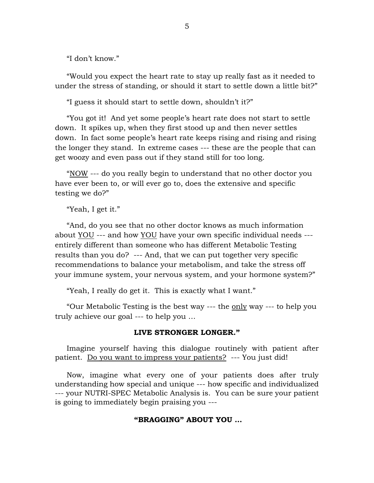"I don't know."

 "Would you expect the heart rate to stay up really fast as it needed to under the stress of standing, or should it start to settle down a little bit?"

"I guess it should start to settle down, shouldn't it?"

 "You got it! And yet some people's heart rate does not start to settle down. It spikes up, when they first stood up and then never settles down. In fact some people's heart rate keeps rising and rising and rising the longer they stand. In extreme cases --- these are the people that can get woozy and even pass out if they stand still for too long.

 "NOW --- do you really begin to understand that no other doctor you have ever been to, or will ever go to, does the extensive and specific testing we do?"

"Yeah, I get it."

 "And, do you see that no other doctor knows as much information about YOU --- and how YOU have your own specific individual needs -- entirely different than someone who has different Metabolic Testing results than you do? --- And, that we can put together very specific recommendations to balance your metabolism, and take the stress off your immune system, your nervous system, and your hormone system?"

"Yeah, I really do get it. This is exactly what I want."

 "Our Metabolic Testing is the best way --- the only way --- to help you truly achieve our goal --- to help you …

#### **LIVE STRONGER LONGER."**

 Imagine yourself having this dialogue routinely with patient after patient. Do you want to impress your patients? --- You just did!

 Now, imagine what every one of your patients does after truly understanding how special and unique --- how specific and individualized --- your NUTRI-SPEC Metabolic Analysis is. You can be sure your patient is going to immediately begin praising you ---

#### **"BRAGGING" ABOUT YOU …**